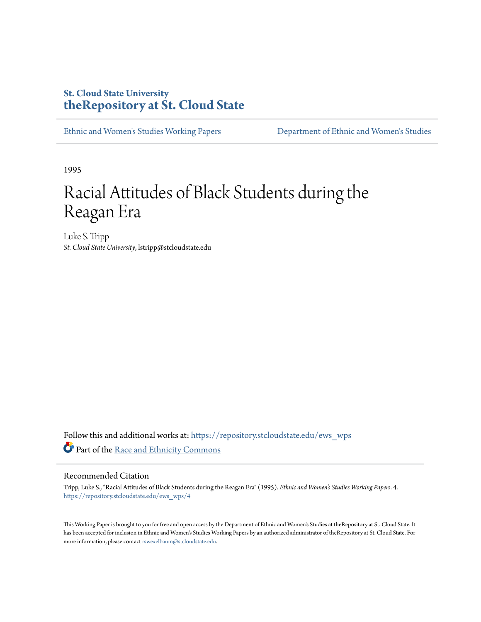### **St. Cloud State University [theRepository at St. Cloud State](https://repository.stcloudstate.edu?utm_source=repository.stcloudstate.edu%2Fews_wps%2F4&utm_medium=PDF&utm_campaign=PDFCoverPages)**

[Ethnic and Women's Studies Working Papers](https://repository.stcloudstate.edu/ews_wps?utm_source=repository.stcloudstate.edu%2Fews_wps%2F4&utm_medium=PDF&utm_campaign=PDFCoverPages) [Department of Ethnic and Women's Studies](https://repository.stcloudstate.edu/ews?utm_source=repository.stcloudstate.edu%2Fews_wps%2F4&utm_medium=PDF&utm_campaign=PDFCoverPages)

1995

# Racial Attitudes of Black Students during the Reagan Era

Luke S. Tripp *St. Cloud State University*, lstripp@stcloudstate.edu

Follow this and additional works at: [https://repository.stcloudstate.edu/ews\\_wps](https://repository.stcloudstate.edu/ews_wps?utm_source=repository.stcloudstate.edu%2Fews_wps%2F4&utm_medium=PDF&utm_campaign=PDFCoverPages) Part of the [Race and Ethnicity Commons](http://network.bepress.com/hgg/discipline/426?utm_source=repository.stcloudstate.edu%2Fews_wps%2F4&utm_medium=PDF&utm_campaign=PDFCoverPages)

#### Recommended Citation

Tripp, Luke S., "Racial Attitudes of Black Students during the Reagan Era" (1995). *Ethnic and Women's Studies Working Papers*. 4. [https://repository.stcloudstate.edu/ews\\_wps/4](https://repository.stcloudstate.edu/ews_wps/4?utm_source=repository.stcloudstate.edu%2Fews_wps%2F4&utm_medium=PDF&utm_campaign=PDFCoverPages)

This Working Paper is brought to you for free and open access by the Department of Ethnic and Women's Studies at theRepository at St. Cloud State. It has been accepted for inclusion in Ethnic and Women's Studies Working Papers by an authorized administrator of theRepository at St. Cloud State. For more information, please contact [rswexelbaum@stcloudstate.edu](mailto:rswexelbaum@stcloudstate.edu).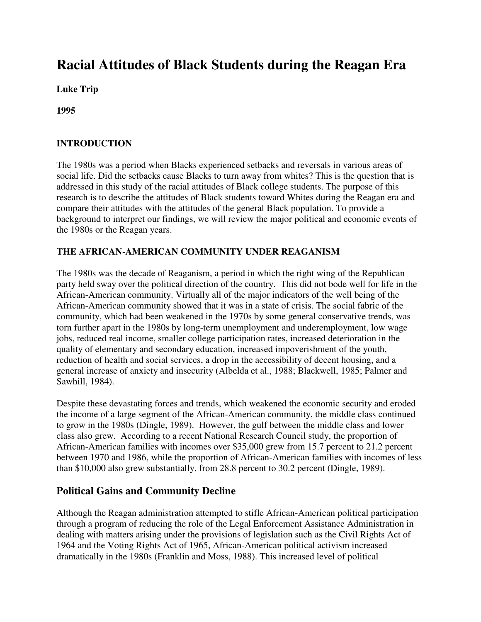## **Racial Attitudes of Black Students during the Reagan Era**

**Luke Trip** 

**1995** 

#### **INTRODUCTION**

The 1980s was a period when Blacks experienced setbacks and reversals in various areas of social life. Did the setbacks cause Blacks to turn away from whites? This is the question that is addressed in this study of the racial attitudes of Black college students. The purpose of this research is to describe the attitudes of Black students toward Whites during the Reagan era and compare their attitudes with the attitudes of the general Black population. To provide a background to interpret our findings, we will review the major political and economic events of the 1980s or the Reagan years.

#### **THE AFRICAN-AMERICAN COMMUNITY UNDER REAGANISM**

The 1980s was the decade of Reaganism, a period in which the right wing of the Republican party held sway over the political direction of the country. This did not bode well for life in the African-American community. Virtually all of the major indicators of the well being of the African-American community showed that it was in a state of crisis. The social fabric of the community, which had been weakened in the 1970s by some general conservative trends, was torn further apart in the 1980s by long-term unemployment and underemployment, low wage jobs, reduced real income, smaller college participation rates, increased deterioration in the quality of elementary and secondary education, increased impoverishment of the youth, reduction of health and social services, a drop in the accessibility of decent housing, and a general increase of anxiety and insecurity (Albelda et al., 1988; Blackwell, 1985; Palmer and Sawhill, 1984).

Despite these devastating forces and trends, which weakened the economic security and eroded the income of a large segment of the African-American community, the middle class continued to grow in the 1980s (Dingle, 1989). However, the gulf between the middle class and lower class also grew. According to a recent National Research Council study, the proportion of African-American families with incomes over \$35,000 grew from 15.7 percent to 21.2 percent between 1970 and 1986, while the proportion of African-American families with incomes of less than \$10,000 also grew substantially, from 28.8 percent to 30.2 percent (Dingle, 1989).

#### **Political Gains and Community Decline**

Although the Reagan administration attempted to stifle African-American political participation through a program of reducing the role of the Legal Enforcement Assistance Administration in dealing with matters arising under the provisions of legislation such as the Civil Rights Act of 1964 and the Voting Rights Act of 1965, African-American political activism increased dramatically in the 1980s (Franklin and Moss, 1988). This increased level of political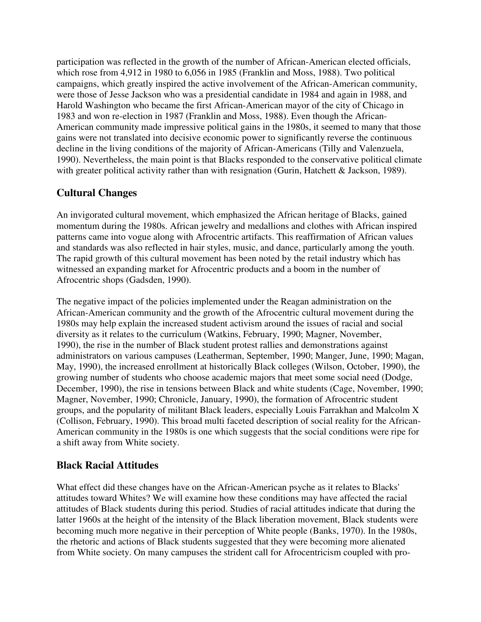participation was reflected in the growth of the number of African-American elected officials, which rose from 4,912 in 1980 to 6,056 in 1985 (Franklin and Moss, 1988). Two political campaigns, which greatly inspired the active involvement of the African-American community, were those of Jesse Jackson who was a presidential candidate in 1984 and again in 1988, and Harold Washington who became the first African-American mayor of the city of Chicago in 1983 and won re-election in 1987 (Franklin and Moss, 1988). Even though the African-American community made impressive political gains in the 1980s, it seemed to many that those gains were not translated into decisive economic power to significantly reverse the continuous decline in the living conditions of the majority of African-Americans (Tilly and Valenzuela, 1990). Nevertheless, the main point is that Blacks responded to the conservative political climate with greater political activity rather than with resignation (Gurin, Hatchett & Jackson, 1989).

### **Cultural Changes**

An invigorated cultural movement, which emphasized the African heritage of Blacks, gained momentum during the 1980s. African jewelry and medallions and clothes with African inspired patterns came into vogue along with Afrocentric artifacts. This reaffirmation of African values and standards was also reflected in hair styles, music, and dance, particularly among the youth. The rapid growth of this cultural movement has been noted by the retail industry which has witnessed an expanding market for Afrocentric products and a boom in the number of Afrocentric shops (Gadsden, 1990).

The negative impact of the policies implemented under the Reagan administration on the African-American community and the growth of the Afrocentric cultural movement during the 1980s may help explain the increased student activism around the issues of racial and social diversity as it relates to the curriculum (Watkins, February, 1990; Magner, November, 1990), the rise in the number of Black student protest rallies and demonstrations against administrators on various campuses (Leatherman, September, 1990; Manger, June, 1990; Magan, May, 1990), the increased enrollment at historically Black colleges (Wilson, October, 1990), the growing number of students who choose academic majors that meet some social need (Dodge, December, 1990), the rise in tensions between Black and white students (Cage, November, 1990; Magner, November, 1990; Chronicle, January, 1990), the formation of Afrocentric student groups, and the popularity of militant Black leaders, especially Louis Farrakhan and Malcolm X (Collison, February, 1990). This broad multi faceted description of social reality for the African-American community in the 1980s is one which suggests that the social conditions were ripe for a shift away from White society.

#### **Black Racial Attitudes**

What effect did these changes have on the African-American psyche as it relates to Blacks' attitudes toward Whites? We will examine how these conditions may have affected the racial attitudes of Black students during this period. Studies of racial attitudes indicate that during the latter 1960s at the height of the intensity of the Black liberation movement, Black students were becoming much more negative in their perception of White people (Banks, 1970). In the 1980s, the rhetoric and actions of Black students suggested that they were becoming more alienated from White society. On many campuses the strident call for Afrocentricism coupled with pro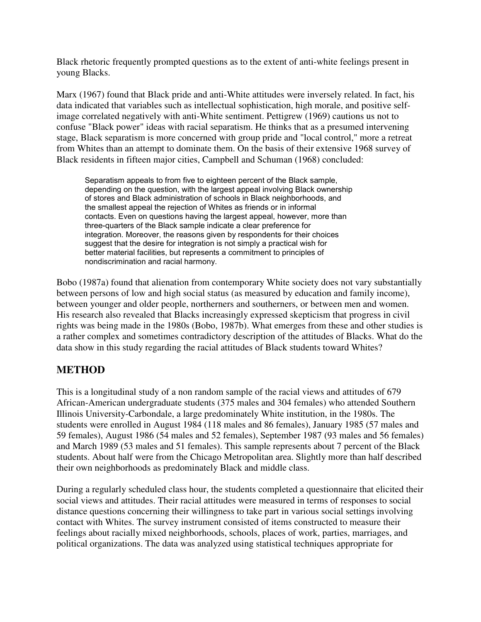Black rhetoric frequently prompted questions as to the extent of anti-white feelings present in young Blacks.

Marx (1967) found that Black pride and anti-White attitudes were inversely related. In fact, his data indicated that variables such as intellectual sophistication, high morale, and positive selfimage correlated negatively with anti-White sentiment. Pettigrew (1969) cautions us not to confuse "Black power" ideas with racial separatism. He thinks that as a presumed intervening stage, Black separatism is more concerned with group pride and "local control," more a retreat from Whites than an attempt to dominate them. On the basis of their extensive 1968 survey of Black residents in fifteen major cities, Campbell and Schuman (1968) concluded:

Separatism appeals to from five to eighteen percent of the Black sample, depending on the question, with the largest appeal involving Black ownership of stores and Black administration of schools in Black neighborhoods, and the smallest appeal the rejection of Whites as friends or in informal contacts. Even on questions having the largest appeal, however, more than three-quarters of the Black sample indicate a clear preference for integration. Moreover, the reasons given by respondents for their choices suggest that the desire for integration is not simply a practical wish for better material facilities, but represents a commitment to principles of nondiscrimination and racial harmony.

Bobo (1987a) found that alienation from contemporary White society does not vary substantially between persons of low and high social status (as measured by education and family income), between younger and older people, northerners and southerners, or between men and women. His research also revealed that Blacks increasingly expressed skepticism that progress in civil rights was being made in the 1980s (Bobo, 1987b). What emerges from these and other studies is a rather complex and sometimes contradictory description of the attitudes of Blacks. What do the data show in this study regarding the racial attitudes of Black students toward Whites?

#### **METHOD**

This is a longitudinal study of a non random sample of the racial views and attitudes of 679 African-American undergraduate students (375 males and 304 females) who attended Southern Illinois University-Carbondale, a large predominately White institution, in the 1980s. The students were enrolled in August 1984 (118 males and 86 females), January 1985 (57 males and 59 females), August 1986 (54 males and 52 females), September 1987 (93 males and 56 females) and March 1989 (53 males and 51 females). This sample represents about 7 percent of the Black students. About half were from the Chicago Metropolitan area. Slightly more than half described their own neighborhoods as predominately Black and middle class.

During a regularly scheduled class hour, the students completed a questionnaire that elicited their social views and attitudes. Their racial attitudes were measured in terms of responses to social distance questions concerning their willingness to take part in various social settings involving contact with Whites. The survey instrument consisted of items constructed to measure their feelings about racially mixed neighborhoods, schools, places of work, parties, marriages, and political organizations. The data was analyzed using statistical techniques appropriate for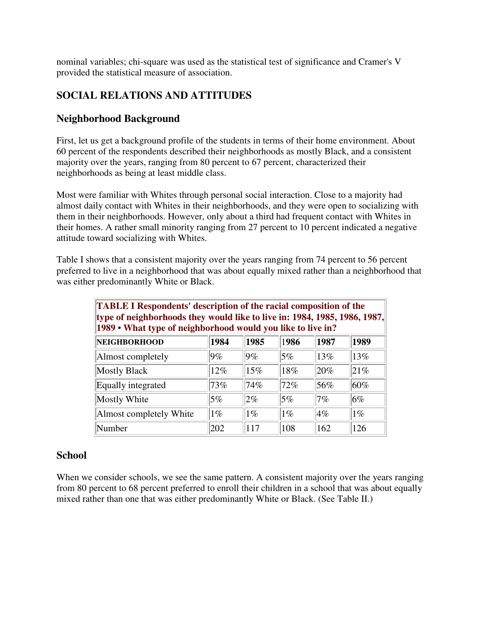nominal variables; chi-square was used as the statistical test of significance and Cramer's V provided the statistical measure of association.

#### **SOCIAL RELATIONS AND ATTITUDES**

#### **Neighborhood Background**

First, let us get a background profile of the students in terms of their home environment. About 60 percent of the respondents described their neighborhoods as mostly Black, and a consistent majority over the years, ranging from 80 percent to 67 percent, characterized their neighborhoods as being at least middle class.

Most were familiar with Whites through personal social interaction. Close to a majority had almost daily contact with Whites in their neighborhoods, and they were open to socializing with them in their neighborhoods. However, only about a third had frequent contact with Whites in their homes. A rather small minority ranging from 27 percent to 10 percent indicated a negative attitude toward socializing with Whites.

Table I shows that a consistent majority over the years ranging from 74 percent to 56 percent preferred to live in a neighborhood that was about equally mixed rather than a neighborhood that was either predominantly White or Black.

| <b>TABLE I Respondents' description of the racial composition of the</b><br>type of neighborhoods they would like to live in: 1984, 1985, 1986, 1987,<br>1989 • What type of neighborhood would you like to live in? |       |       |       |         |       |  |
|----------------------------------------------------------------------------------------------------------------------------------------------------------------------------------------------------------------------|-------|-------|-------|---------|-------|--|
| <b>NEIGHBORHOOD</b>                                                                                                                                                                                                  | 1984  | 1985  | 1986  | 1987    | 1989  |  |
| Almost completely                                                                                                                                                                                                    | $9\%$ | 9%    | $5\%$ | 13%     | 13%   |  |
| <b>Mostly Black</b>                                                                                                                                                                                                  | 12%   | 15%   | 18%   | $ 20\%$ | 21%   |  |
| Equally integrated                                                                                                                                                                                                   | 73%   | 74%   | 72%   | 56%     | 60%   |  |
| Mostly White                                                                                                                                                                                                         | 5%    | $2\%$ | $5\%$ | 7%      | $6\%$ |  |
| Almost completely White                                                                                                                                                                                              | $1\%$ | $1\%$ | $1\%$ | $4\%$   | $1\%$ |  |
| Number                                                                                                                                                                                                               | 202   | 117   | 108   | 162     | 126   |  |

#### **School**

When we consider schools, we see the same pattern. A consistent majority over the years ranging from 80 percent to 68 percent preferred to enroll their children in a school that was about equally mixed rather than one that was either predominantly White or Black. (See Table II.)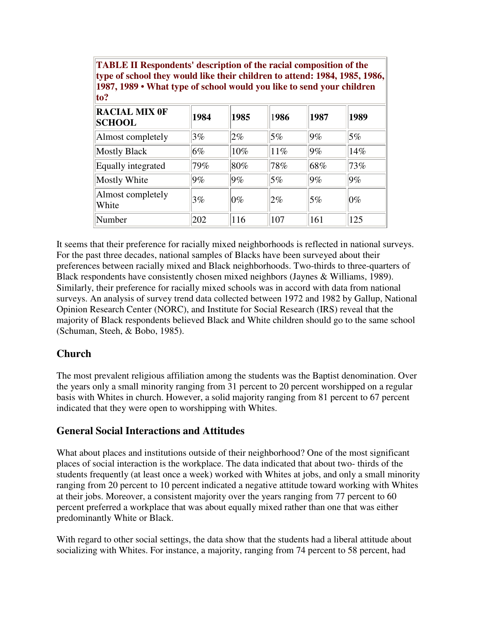| <b>TABLE II Respondents' description of the racial composition of the</b>  |  |
|----------------------------------------------------------------------------|--|
| type of school they would like their children to attend: 1984, 1985, 1986, |  |
| 1987, 1989 • What type of school would you like to send your children      |  |
| 10 <sup>2</sup>                                                            |  |

| <b>RACIAL MIX OF</b><br><b>SCHOOL</b> | 1984  | 1985   | 1986   | 1987           | 1989   |
|---------------------------------------|-------|--------|--------|----------------|--------|
| Almost completely                     | 3%    | $2\%$  | 5%     | 9%             | 5%     |
| <b>Mostly Black</b>                   | 6%    | $10\%$ | $11\%$ | 9%             | 14%    |
| Equally integrated                    | 79%   | $80\%$ | 78%    | 68%            | 73%    |
| Mostly White                          | $9\%$ | 9%     | 5%     | 9%             | 9%     |
| Almost completely<br>White            | 3%    | $ 0\%$ | $2\%$  | 5%             | $ 0\%$ |
| Number                                | 202   | 116    | 107    | <sup>161</sup> | 125    |

It seems that their preference for racially mixed neighborhoods is reflected in national surveys. For the past three decades, national samples of Blacks have been surveyed about their preferences between racially mixed and Black neighborhoods. Two-thirds to three-quarters of Black respondents have consistently chosen mixed neighbors (Jaynes & Williams, 1989). Similarly, their preference for racially mixed schools was in accord with data from national surveys. An analysis of survey trend data collected between 1972 and 1982 by Gallup, National Opinion Research Center (NORC), and Institute for Social Research (IRS) reveal that the majority of Black respondents believed Black and White children should go to the same school (Schuman, Steeh, & Bobo, 1985).

#### **Church**

The most prevalent religious affiliation among the students was the Baptist denomination. Over the years only a small minority ranging from 31 percent to 20 percent worshipped on a regular basis with Whites in church. However, a solid majority ranging from 81 percent to 67 percent indicated that they were open to worshipping with Whites.

#### **General Social Interactions and Attitudes**

What about places and institutions outside of their neighborhood? One of the most significant places of social interaction is the workplace. The data indicated that about two- thirds of the students frequently (at least once a week) worked with Whites at jobs, and only a small minority ranging from 20 percent to 10 percent indicated a negative attitude toward working with Whites at their jobs. Moreover, a consistent majority over the years ranging from 77 percent to 60 percent preferred a workplace that was about equally mixed rather than one that was either predominantly White or Black.

With regard to other social settings, the data show that the students had a liberal attitude about socializing with Whites. For instance, a majority, ranging from 74 percent to 58 percent, had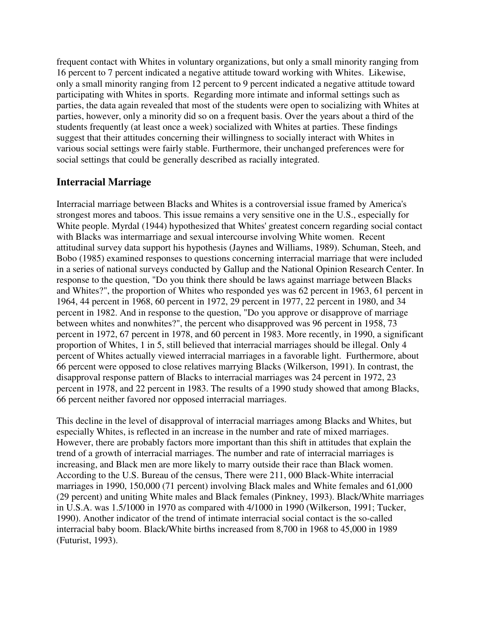frequent contact with Whites in voluntary organizations, but only a small minority ranging from 16 percent to 7 percent indicated a negative attitude toward working with Whites. Likewise, only a small minority ranging from 12 percent to 9 percent indicated a negative attitude toward participating with Whites in sports. Regarding more intimate and informal settings such as parties, the data again revealed that most of the students were open to socializing with Whites at parties, however, only a minority did so on a frequent basis. Over the years about a third of the students frequently (at least once a week) socialized with Whites at parties. These findings suggest that their attitudes concerning their willingness to socially interact with Whites in various social settings were fairly stable. Furthermore, their unchanged preferences were for social settings that could be generally described as racially integrated.

#### **Interracial Marriage**

Interracial marriage between Blacks and Whites is a controversial issue framed by America's strongest mores and taboos. This issue remains a very sensitive one in the U.S., especially for White people. Myrdal (1944) hypothesized that Whites' greatest concern regarding social contact with Blacks was intermarriage and sexual intercourse involving White women. Recent attitudinal survey data support his hypothesis (Jaynes and Williams, 1989). Schuman, Steeh, and Bobo (1985) examined responses to questions concerning interracial marriage that were included in a series of national surveys conducted by Gallup and the National Opinion Research Center. In response to the question, "Do you think there should be laws against marriage between Blacks and Whites?", the proportion of Whites who responded yes was 62 percent in 1963, 61 percent in 1964, 44 percent in 1968, 60 percent in 1972, 29 percent in 1977, 22 percent in 1980, and 34 percent in 1982. And in response to the question, "Do you approve or disapprove of marriage between whites and nonwhites?", the percent who disapproved was 96 percent in 1958, 73 percent in 1972, 67 percent in 1978, and 60 percent in 1983. More recently, in 1990, a significant proportion of Whites, 1 in 5, still believed that interracial marriages should be illegal. Only 4 percent of Whites actually viewed interracial marriages in a favorable light. Furthermore, about 66 percent were opposed to close relatives marrying Blacks (Wilkerson, 1991). In contrast, the disapproval response pattern of Blacks to interracial marriages was 24 percent in 1972, 23 percent in 1978, and 22 percent in 1983. The results of a 1990 study showed that among Blacks, 66 percent neither favored nor opposed interracial marriages.

This decline in the level of disapproval of interracial marriages among Blacks and Whites, but especially Whites, is reflected in an increase in the number and rate of mixed marriages. However, there are probably factors more important than this shift in attitudes that explain the trend of a growth of interracial marriages. The number and rate of interracial marriages is increasing, and Black men are more likely to marry outside their race than Black women. According to the U.S. Bureau of the census, There were 211, 000 Black-White interracial marriages in 1990, 150,000 (71 percent) involving Black males and White females and 61,000 (29 percent) and uniting White males and Black females (Pinkney, 1993). Black/White marriages in U.S.A. was 1.5/1000 in 1970 as compared with 4/1000 in 1990 (Wilkerson, 1991; Tucker, 1990). Another indicator of the trend of intimate interracial social contact is the so-called interracial baby boom. Black/White births increased from 8,700 in 1968 to 45,000 in 1989 (Futurist, 1993).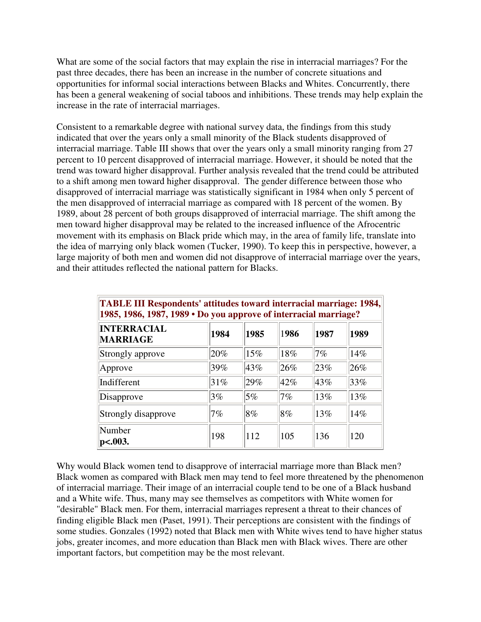What are some of the social factors that may explain the rise in interracial marriages? For the past three decades, there has been an increase in the number of concrete situations and opportunities for informal social interactions between Blacks and Whites. Concurrently, there has been a general weakening of social taboos and inhibitions. These trends may help explain the increase in the rate of interracial marriages.

Consistent to a remarkable degree with national survey data, the findings from this study indicated that over the years only a small minority of the Black students disapproved of interracial marriage. Table III shows that over the years only a small minority ranging from 27 percent to 10 percent disapproved of interracial marriage. However, it should be noted that the trend was toward higher disapproval. Further analysis revealed that the trend could be attributed to a shift among men toward higher disapproval. The gender difference between those who disapproved of interracial marriage was statistically significant in 1984 when only 5 percent of the men disapproved of interracial marriage as compared with 18 percent of the women. By 1989, about 28 percent of both groups disapproved of interracial marriage. The shift among the men toward higher disapproval may be related to the increased influence of the Afrocentric movement with its emphasis on Black pride which may, in the area of family life, translate into the idea of marrying only black women (Tucker, 1990). To keep this in perspective, however, a large majority of both men and women did not disapprove of interracial marriage over the years, and their attitudes reflected the national pattern for Blacks.

| <b>TABLE III Respondents' attitudes toward interracial marriage: 1984,</b><br>1985, 1986, 1987, 1989 • Do you approve of interracial marriage? |        |        |       |      |      |
|------------------------------------------------------------------------------------------------------------------------------------------------|--------|--------|-------|------|------|
| <b>INTERRACIAL</b><br><b>MARRIAGE</b>                                                                                                          | 1984   | 1985   | 1986  | 1987 | 1989 |
| Strongly approve                                                                                                                               | $20\%$ | 15%    | 18%   | 7%   | 14%  |
| Approve                                                                                                                                        | 39%    | 43%    | 26%   | 23%  | 26%  |
| Indifferent                                                                                                                                    | 31%    | 29%    | 42%   | 43%  | 33%  |
| Disapprove                                                                                                                                     | 3%     | 5%     | $7\%$ | 13%  | 13%  |
| Strongly disapprove                                                                                                                            | 7%     | $ 8\%$ | 8%    | 13%  | 14%  |
| Number<br>$p<.003$ .                                                                                                                           | 198    | 112    | 105   | 136  | 120  |

Why would Black women tend to disapprove of interracial marriage more than Black men? Black women as compared with Black men may tend to feel more threatened by the phenomenon of interracial marriage. Their image of an interracial couple tend to be one of a Black husband and a White wife. Thus, many may see themselves as competitors with White women for "desirable" Black men. For them, interracial marriages represent a threat to their chances of finding eligible Black men (Paset, 1991). Their perceptions are consistent with the findings of some studies. Gonzales (1992) noted that Black men with White wives tend to have higher status jobs, greater incomes, and more education than Black men with Black wives. There are other important factors, but competition may be the most relevant.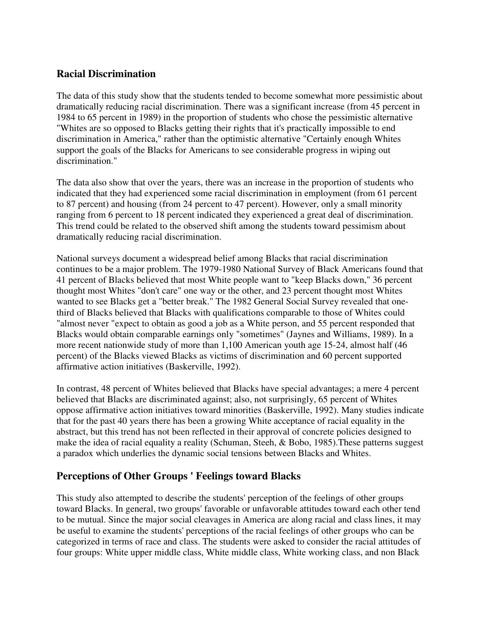#### **Racial Discrimination**

The data of this study show that the students tended to become somewhat more pessimistic about dramatically reducing racial discrimination. There was a significant increase (from 45 percent in 1984 to 65 percent in 1989) in the proportion of students who chose the pessimistic alternative "Whites are so opposed to Blacks getting their rights that it's practically impossible to end discrimination in America," rather than the optimistic alternative "Certainly enough Whites support the goals of the Blacks for Americans to see considerable progress in wiping out discrimination."

The data also show that over the years, there was an increase in the proportion of students who indicated that they had experienced some racial discrimination in employment (from 61 percent to 87 percent) and housing (from 24 percent to 47 percent). However, only a small minority ranging from 6 percent to 18 percent indicated they experienced a great deal of discrimination. This trend could be related to the observed shift among the students toward pessimism about dramatically reducing racial discrimination.

National surveys document a widespread belief among Blacks that racial discrimination continues to be a major problem. The 1979-1980 National Survey of Black Americans found that 41 percent of Blacks believed that most White people want to "keep Blacks down," 36 percent thought most Whites "don't care" one way or the other, and 23 percent thought most Whites wanted to see Blacks get a "better break." The 1982 General Social Survey revealed that onethird of Blacks believed that Blacks with qualifications comparable to those of Whites could "almost never "expect to obtain as good a job as a White person, and 55 percent responded that Blacks would obtain comparable earnings only "sometimes" (Jaynes and Williams, 1989). In a more recent nationwide study of more than 1,100 American youth age 15-24, almost half (46 percent) of the Blacks viewed Blacks as victims of discrimination and 60 percent supported affirmative action initiatives (Baskerville, 1992).

In contrast, 48 percent of Whites believed that Blacks have special advantages; a mere 4 percent believed that Blacks are discriminated against; also, not surprisingly, 65 percent of Whites oppose affirmative action initiatives toward minorities (Baskerville, 1992). Many studies indicate that for the past 40 years there has been a growing White acceptance of racial equality in the abstract, but this trend has not been reflected in their approval of concrete policies designed to make the idea of racial equality a reality (Schuman, Steeh, & Bobo, 1985).These patterns suggest a paradox which underlies the dynamic social tensions between Blacks and Whites.

#### **Perceptions of Other Groups ' Feelings toward Blacks**

This study also attempted to describe the students' perception of the feelings of other groups toward Blacks. In general, two groups' favorable or unfavorable attitudes toward each other tend to be mutual. Since the major social cleavages in America are along racial and class lines, it may be useful to examine the students' perceptions of the racial feelings of other groups who can be categorized in terms of race and class. The students were asked to consider the racial attitudes of four groups: White upper middle class, White middle class, White working class, and non Black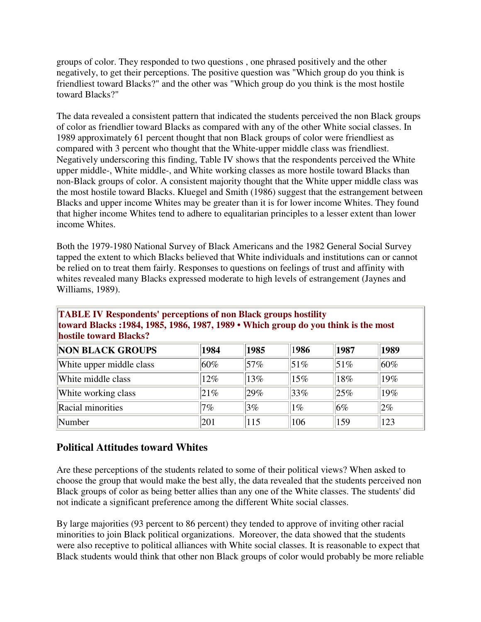groups of color. They responded to two questions , one phrased positively and the other negatively, to get their perceptions. The positive question was "Which group do you think is friendliest toward Blacks?" and the other was "Which group do you think is the most hostile toward Blacks?"

The data revealed a consistent pattern that indicated the students perceived the non Black groups of color as friendlier toward Blacks as compared with any of the other White social classes. In 1989 approximately 61 percent thought that non Black groups of color were friendliest as compared with 3 percent who thought that the White-upper middle class was friendliest. Negatively underscoring this finding, Table IV shows that the respondents perceived the White upper middle-, White middle-, and White working classes as more hostile toward Blacks than non-Black groups of color. A consistent majority thought that the White upper middle class was the most hostile toward Blacks. Kluegel and Smith (1986) suggest that the estrangement between Blacks and upper income Whites may be greater than it is for lower income Whites. They found that higher income Whites tend to adhere to equalitarian principles to a lesser extent than lower income Whites.

Both the 1979-1980 National Survey of Black Americans and the 1982 General Social Survey tapped the extent to which Blacks believed that White individuals and institutions can or cannot be relied on to treat them fairly. Responses to questions on feelings of trust and affinity with whites revealed many Blacks expressed moderate to high levels of estrangement (Jaynes and Williams, 1989).

**TABLE IV Respondents' perceptions of non Black groups hostility toward Blacks :1984, 1985, 1986, 1987, 1989 • Which group do you think is the most hostile toward Blacks?**

| <b>NON BLACK GROUPS</b>  | 1984   | 1985   | 1986  | 1987 | 1989  |
|--------------------------|--------|--------|-------|------|-------|
| White upper middle class | $60\%$ | 57%    | 51%   | 51%  | 60%   |
| White middle class       | 12%    | 13%    | 15%   | 18%  | 19%   |
| White working class      | 21%    | $29\%$ | 33%   | 25%  | 19%   |
| Racial minorities        | 7%     | 3%     | $1\%$ | 6%   | $2\%$ |
| Number                   | 201    | 115    | 106   | 159  | 123   |

#### **Political Attitudes toward Whites**

Are these perceptions of the students related to some of their political views? When asked to choose the group that would make the best ally, the data revealed that the students perceived non Black groups of color as being better allies than any one of the White classes. The students' did not indicate a significant preference among the different White social classes.

By large majorities (93 percent to 86 percent) they tended to approve of inviting other racial minorities to join Black political organizations. Moreover, the data showed that the students were also receptive to political alliances with White social classes. It is reasonable to expect that Black students would think that other non Black groups of color would probably be more reliable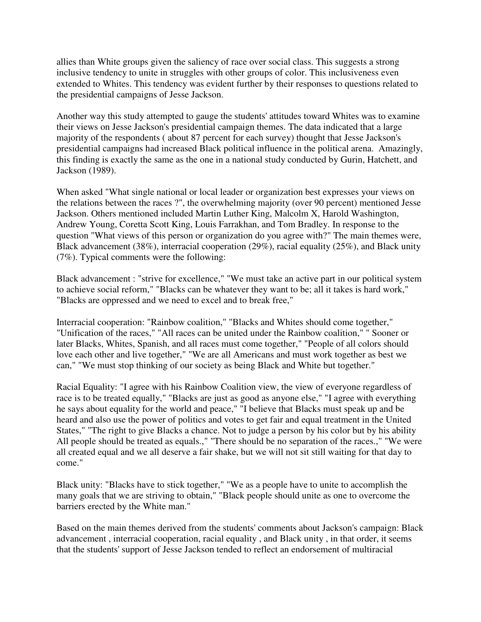allies than White groups given the saliency of race over social class. This suggests a strong inclusive tendency to unite in struggles with other groups of color. This inclusiveness even extended to Whites. This tendency was evident further by their responses to questions related to the presidential campaigns of Jesse Jackson.

Another way this study attempted to gauge the students' attitudes toward Whites was to examine their views on Jesse Jackson's presidential campaign themes. The data indicated that a large majority of the respondents ( about 87 percent for each survey) thought that Jesse Jackson's presidential campaigns had increased Black political influence in the political arena. Amazingly, this finding is exactly the same as the one in a national study conducted by Gurin, Hatchett, and Jackson (1989).

When asked "What single national or local leader or organization best expresses your views on the relations between the races ?", the overwhelming majority (over 90 percent) mentioned Jesse Jackson. Others mentioned included Martin Luther King, Malcolm X, Harold Washington, Andrew Young, Coretta Scott King, Louis Farrakhan, and Tom Bradley. In response to the question "What views of this person or organization do you agree with?" The main themes were, Black advancement (38%), interracial cooperation (29%), racial equality (25%), and Black unity (7%). Typical comments were the following:

Black advancement : "strive for excellence," "We must take an active part in our political system to achieve social reform," "Blacks can be whatever they want to be; all it takes is hard work," "Blacks are oppressed and we need to excel and to break free,"

Interracial cooperation: "Rainbow coalition," "Blacks and Whites should come together," "Unification of the races," "All races can be united under the Rainbow coalition," " Sooner or later Blacks, Whites, Spanish, and all races must come together," "People of all colors should love each other and live together," "We are all Americans and must work together as best we can," "We must stop thinking of our society as being Black and White but together."

Racial Equality: "I agree with his Rainbow Coalition view, the view of everyone regardless of race is to be treated equally," "Blacks are just as good as anyone else," "I agree with everything he says about equality for the world and peace," "I believe that Blacks must speak up and be heard and also use the power of politics and votes to get fair and equal treatment in the United States," "The right to give Blacks a chance. Not to judge a person by his color but by his ability All people should be treated as equals.," "There should be no separation of the races.," "We were all created equal and we all deserve a fair shake, but we will not sit still waiting for that day to come."

Black unity: "Blacks have to stick together," "We as a people have to unite to accomplish the many goals that we are striving to obtain," "Black people should unite as one to overcome the barriers erected by the White man."

Based on the main themes derived from the students' comments about Jackson's campaign: Black advancement , interracial cooperation, racial equality , and Black unity , in that order, it seems that the students' support of Jesse Jackson tended to reflect an endorsement of multiracial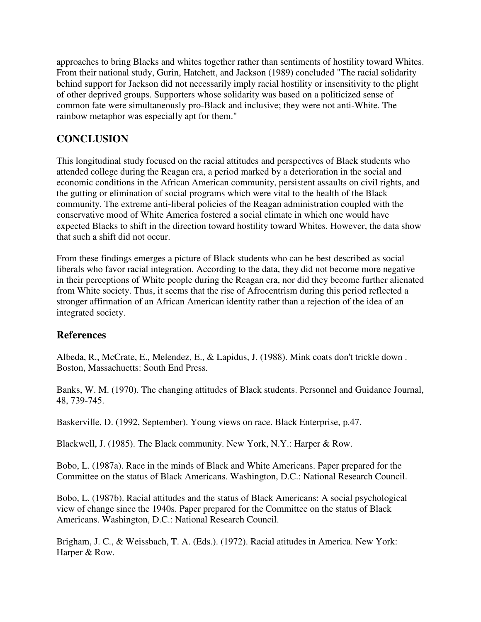approaches to bring Blacks and whites together rather than sentiments of hostility toward Whites. From their national study, Gurin, Hatchett, and Jackson (1989) concluded "The racial solidarity behind support for Jackson did not necessarily imply racial hostility or insensitivity to the plight of other deprived groups. Supporters whose solidarity was based on a politicized sense of common fate were simultaneously pro-Black and inclusive; they were not anti-White. The rainbow metaphor was especially apt for them."

#### **CONCLUSION**

This longitudinal study focused on the racial attitudes and perspectives of Black students who attended college during the Reagan era, a period marked by a deterioration in the social and economic conditions in the African American community, persistent assaults on civil rights, and the gutting or elimination of social programs which were vital to the health of the Black community. The extreme anti-liberal policies of the Reagan administration coupled with the conservative mood of White America fostered a social climate in which one would have expected Blacks to shift in the direction toward hostility toward Whites. However, the data show that such a shift did not occur.

From these findings emerges a picture of Black students who can be best described as social liberals who favor racial integration. According to the data, they did not become more negative in their perceptions of White people during the Reagan era, nor did they become further alienated from White society. Thus, it seems that the rise of Afrocentrism during this period reflected a stronger affirmation of an African American identity rather than a rejection of the idea of an integrated society.

#### **References**

Albeda, R., McCrate, E., Melendez, E., & Lapidus, J. (1988). Mink coats don't trickle down . Boston, Massachuetts: South End Press.

Banks, W. M. (1970). The changing attitudes of Black students. Personnel and Guidance Journal, 48, 739-745.

Baskerville, D. (1992, September). Young views on race. Black Enterprise, p.47.

Blackwell, J. (1985). The Black community. New York, N.Y.: Harper & Row.

Bobo, L. (1987a). Race in the minds of Black and White Americans. Paper prepared for the Committee on the status of Black Americans. Washington, D.C.: National Research Council.

Bobo, L. (1987b). Racial attitudes and the status of Black Americans: A social psychological view of change since the 1940s. Paper prepared for the Committee on the status of Black Americans. Washington, D.C.: National Research Council.

Brigham, J. C., & Weissbach, T. A. (Eds.). (1972). Racial atitudes in America. New York: Harper & Row.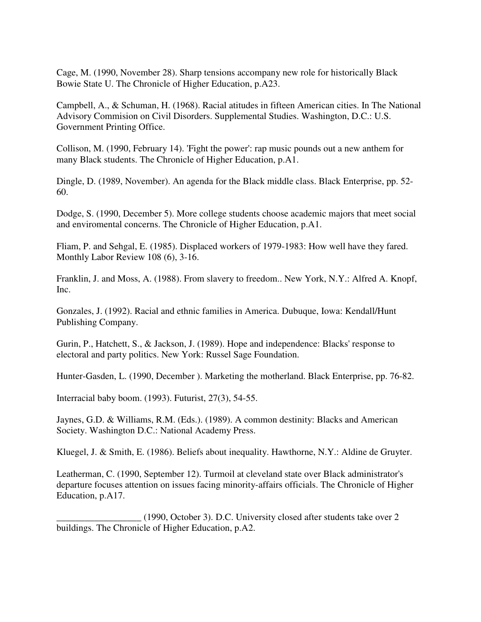Cage, M. (1990, November 28). Sharp tensions accompany new role for historically Black Bowie State U. The Chronicle of Higher Education, p.A23.

Campbell, A., & Schuman, H. (1968). Racial atitudes in fifteen American cities. In The National Advisory Commision on Civil Disorders. Supplemental Studies. Washington, D.C.: U.S. Government Printing Office.

Collison, M. (1990, February 14). 'Fight the power': rap music pounds out a new anthem for many Black students. The Chronicle of Higher Education, p.A1.

Dingle, D. (1989, November). An agenda for the Black middle class. Black Enterprise, pp. 52- 60.

Dodge, S. (1990, December 5). More college students choose academic majors that meet social and enviromental concerns. The Chronicle of Higher Education, p.A1.

Fliam, P. and Sehgal, E. (1985). Displaced workers of 1979-1983: How well have they fared. Monthly Labor Review 108 (6), 3-16.

Franklin, J. and Moss, A. (1988). From slavery to freedom.. New York, N.Y.: Alfred A. Knopf, Inc.

Gonzales, J. (1992). Racial and ethnic families in America. Dubuque, Iowa: Kendall/Hunt Publishing Company.

Gurin, P., Hatchett, S., & Jackson, J. (1989). Hope and independence: Blacks' response to electoral and party politics. New York: Russel Sage Foundation.

Hunter-Gasden, L. (1990, December ). Marketing the motherland. Black Enterprise, pp. 76-82.

Interracial baby boom. (1993). Futurist, 27(3), 54-55.

Jaynes, G.D. & Williams, R.M. (Eds.). (1989). A common destinity: Blacks and American Society. Washington D.C.: National Academy Press.

Kluegel, J. & Smith, E. (1986). Beliefs about inequality. Hawthorne, N.Y.: Aldine de Gruyter.

Leatherman, C. (1990, September 12). Turmoil at cleveland state over Black administrator's departure focuses attention on issues facing minority-affairs officials. The Chronicle of Higher Education, p.A17.

(1990, October 3). D.C. University closed after students take over 2 buildings. The Chronicle of Higher Education, p.A2.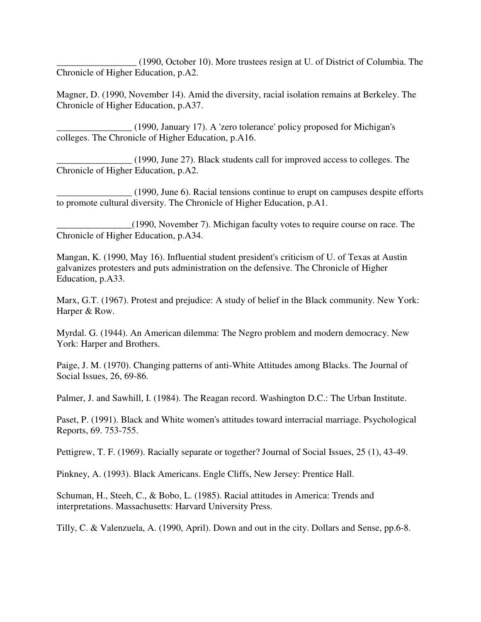\_\_\_\_\_\_\_\_\_\_\_\_\_\_\_\_\_ (1990, October 10). More trustees resign at U. of District of Columbia. The Chronicle of Higher Education, p.A2.

Magner, D. (1990, November 14). Amid the diversity, racial isolation remains at Berkeley. The Chronicle of Higher Education, p.A37.

\_\_\_\_\_\_\_\_\_\_\_\_\_\_\_\_ (1990, January 17). A 'zero tolerance' policy proposed for Michigan's colleges. The Chronicle of Higher Education, p.A16.

\_\_\_\_\_\_\_\_\_\_\_\_\_\_\_\_ (1990, June 27). Black students call for improved access to colleges. The Chronicle of Higher Education, p.A2.

 $(1990, June 6)$ . Racial tensions continue to erupt on campuses despite efforts to promote cultural diversity. The Chronicle of Higher Education, p.A1.

\_\_\_\_\_\_\_\_\_\_\_\_\_\_\_\_(1990, November 7). Michigan faculty votes to require course on race. The Chronicle of Higher Education, p.A34.

Mangan, K. (1990, May 16). Influential student president's criticism of U. of Texas at Austin galvanizes protesters and puts administration on the defensive. The Chronicle of Higher Education, p.A33.

Marx, G.T. (1967). Protest and prejudice: A study of belief in the Black community. New York: Harper & Row.

Myrdal. G. (1944). An American dilemma: The Negro problem and modern democracy. New York: Harper and Brothers.

Paige, J. M. (1970). Changing patterns of anti-White Attitudes among Blacks. The Journal of Social Issues, 26, 69-86.

Palmer, J. and Sawhill, I. (1984). The Reagan record. Washington D.C.: The Urban Institute.

Paset, P. (1991). Black and White women's attitudes toward interracial marriage. Psychological Reports, 69. 753-755.

Pettigrew, T. F. (1969). Racially separate or together? Journal of Social Issues, 25 (1), 43-49.

Pinkney, A. (1993). Black Americans. Engle Cliffs, New Jersey: Prentice Hall.

Schuman, H., Steeh, C., & Bobo, L. (1985). Racial attitudes in America: Trends and interpretations. Massachusetts: Harvard University Press.

Tilly, C. & Valenzuela, A. (1990, April). Down and out in the city. Dollars and Sense, pp.6-8.